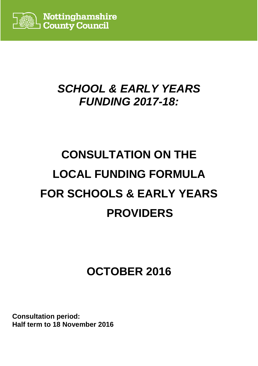

# **SCHOOL & EARLY YEARS FUNDING 2017-18:**

# **CONSULTATION ON THE LOCAL FUNDING FORMULA FOR SCHOOLS & EARLY YEARS PROVIDERS**

# **OCTOBER 2016**

**Consultation period: Half term to 18 November 2016**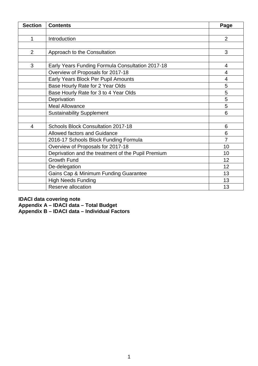| <b>Section</b> | <b>Contents</b>                                    | Page           |
|----------------|----------------------------------------------------|----------------|
|                |                                                    |                |
| 1              | Introduction                                       | $\overline{2}$ |
|                |                                                    |                |
| $\overline{2}$ | Approach to the Consultation                       | 3              |
|                |                                                    |                |
| 3              | Early Years Funding Formula Consultation 2017-18   | 4              |
|                | Overview of Proposals for 2017-18                  | $\overline{4}$ |
|                | Early Years Block Per Pupil Amounts                | $\overline{4}$ |
|                | Base Hourly Rate for 2 Year Olds                   | 5              |
|                | Base Hourly Rate for 3 to 4 Year Olds              | 5              |
|                | Deprivation                                        | 5              |
|                | <b>Meal Allowance</b>                              | 5              |
|                | <b>Sustainability Supplement</b>                   | 6              |
|                |                                                    |                |
| 4              | <b>Schools Block Consultation 2017-18</b>          | 6              |
|                | <b>Allowed factors and Guidance</b>                | 6              |
|                | 2016-17 Schools Block Funding Formula              | $\overline{7}$ |
|                | Overview of Proposals for 2017-18                  | 10             |
|                | Deprivation and the treatment of the Pupil Premium | 10             |
|                | <b>Growth Fund</b>                                 | 12             |
|                | De-delegation                                      | 12             |
|                | Gains Cap & Minimum Funding Guarantee              | 13             |
|                | <b>High Needs Funding</b>                          | 13             |
|                | Reserve allocation                                 | 13             |

**IDACI data covering note Appendix A – IDACI data – Total Budget Appendix B – IDACI data – Individual Factors**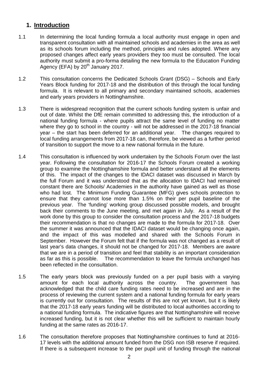#### **1. Introduction**

- 1.1 In determining the local funding formula a local authority must engage in open and transparent consultation with all maintained schools and academies in the area as well as its schools forum including the method, principles and rules adopted. Where any proposed changes affect early years providers they too must be consulted. The local authority must submit a pro-forma detailing the new formula to the Education Funding Agency (EFA) by  $20<sup>th</sup>$  January 2017.
- 1.2 This consultation concerns the Dedicated Schools Grant (DSG) Schools and Early Years Block funding for 2017-18 and the distribution of this through the local funding formula. It is relevant to all primary and secondary maintained schools, academies and early years providers in Nottinghamshire.
- 1.3 There is widespread recognition that the current schools funding system is unfair and out of date. Whilst the DfE remain committed to addressing this, the introduction of a national funding formula - where pupils attract the same level of funding no matter where they go to school in the country - will not be addressed in the 2017-18 financial year – the start has been deferred for an additional year. The changes required to local funding arrangements from 2017-18 can, therefore, be viewed as a further period of transition to support the move to a new national formula in the future.
- 1.4 This consultation is influenced by work undertaken by the Schools Forum over the last year. Following the consultation for 2016-17 the Schools Forum created a working group to examine the Nottinghamshire formula and better understand all the elements of this. The impact of the changes to the IDACI dataset was discussed in March by the full Forum and it was understood that as the allocation to IDACI had remained constant there are Schools/ Academies in the authority have gained as well as those who had lost. The Minimum Funding Guarantee (MFG) gives schools protection to ensure that they cannot lose more than 1.5% on their per pupil baseline of the previous year. The 'funding' working group discussed possible models, and brought back their comments to the June meeting, and met again in July. As a result of the work done by this group to consider the consultation process and the 2017-18 budgets their recommendation is that no changes are made to the formula for 2017-18. Over the summer it was announced that the IDACI dataset would be changing once again, and the impact of this was modelled and shared with the Schools Forum in September. However the Forum felt that if the formula was not changed as a result of last year's data changes, it should not be changed for 2017-18. Members are aware that we are in a period of transition and feel that stability is an important consideration as far as this is possible. The recommendation to leave the formula unchanged has been reflected in the consultation.
- 1.5 The early years block was previously funded on a per pupil basis with a varying amount for each local authority across the country. The government has acknowledged that the child care funding rates need to be increased and are in the process of reviewing the current system and a national funding formula for early years is currently out for consultation. The results of this are not yet known, but it is likely that the 2017-18 early years funding will be distributed to local authorities according to a national funding formula. The indicative figures are that Nottinghamshire will receive increased funding, but it is not clear whether this will be sufficient to maintain hourly funding at the same rates as 2016-17.
- 1.6 The consultation therefore proposes that Nottinghamshire continues to fund at 2016- 17 levels with the additional amount funded from the DSG non ISB reserve if required. If there is a subsequent increase to the per pupil unit of funding through the national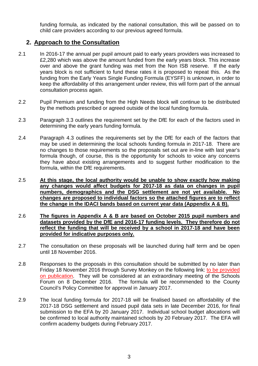funding formula, as indicated by the national consultation, this will be passed on to child care providers according to our previous agreed formula.

#### **2. Approach to the Consultation**

- 2.1 In 2016-17 the annual per pupil amount paid to early years providers was increased to £2,280 which was above the amount funded from the early years block. This increase over and above the grant funding was met from the Non ISB reserve. If the early years block is not sufficient to fund these rates it is proposed to repeat this. As the funding from the Early Years Single Funding Formula (EYSFF) is unknown, in order to keep the affordability of this arrangement under review, this will form part of the annual consultation process again.
- 2.2 Pupil Premium and funding from the High Needs block will continue to be distributed by the methods prescribed or agreed outside of the local funding formula.
- 2.3 Paragraph 3.3 outlines the requirement set by the DfE for each of the factors used in determining the early years funding formula.
- 2.4 Paragraph 4.3 outlines the requirements set by the DfE for each of the factors that may be used in determining the local schools funding formula in 2017-18. There are no changes to those requirements so the proposals set out are in-line with last year's formula though, of course, this is the opportunity for schools to voice any concerns they have about existing arrangements and to suggest further modification to the formula, within the DfE requirements.
- 2.5 **At this stage, the local authority would be unable to show exactly how making any changes would affect budgets for 2017-18 as data on changes in pupil numbers, demographics and the DSG settlement are not yet available. No changes are proposed to individual factors so the attached figures are to reflect the change in the IDACI bands based on current year data (Appendix A & B).**
- 2.6 **The figures in Appendix A & B are based on October 2015 pupil numbers and datasets provided by the DfE and 2016-17 funding levels. They therefore do not reflect the funding that will be received by a school in 2017-18 and have been provided for indicative purposes only.**
- 2.7 The consultation on these proposals will be launched during half term and be open until 18 November 2016.
- 2.8 Responses to the proposals in this consultation should be submitted by no later than Friday 18 November 2016 through Survey Monkey on the following link: to be provided on publication. They will be considered at an extraordinary meeting of the Schools Forum on 8 December 2016. The formula will be recommended to the County Council's Policy Committee for approval in January 2017.
- 2.9 The local funding formula for 2017-18 will be finalised based on affordability of the 2017-18 DSG settlement and issued pupil data sets in late December 2016, for final submission to the EFA by 20 January 2017. Individual school budget allocations will be confirmed to local authority maintained schools by 20 February 2017. The EFA will confirm academy budgets during February 2017.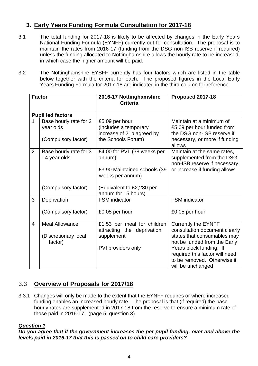# **3. Early Years Funding Formula Consultation for 2017-18**

- 3.1 The total funding for 2017-18 is likely to be affected by changes in the Early Years National Funding Formula (EYNFF) currently out for consultation. The proposal is to maintain the rates from 2016-17 (funding from the DSG non-ISB reserve if required) unless the funding allocated to Nottinghamshire allows the hourly rate to be increased, in which case the higher amount will be paid.
- 3.2 The Nottinghamshire EYSFF currently has four factors which are listed in the table below together with the criteria for each. The proposed figures in the Local Early Years Funding Formula for 2017-18 are indicated in the third column for reference.

|                | <b>Factor</b>                                              | 2016-17 Nottinghamshire<br><b>Criteria</b>                                                    | Proposed 2017-18                                                                                                                                                                                                                            |  |
|----------------|------------------------------------------------------------|-----------------------------------------------------------------------------------------------|---------------------------------------------------------------------------------------------------------------------------------------------------------------------------------------------------------------------------------------------|--|
|                | <b>Pupil led factors</b>                                   |                                                                                               |                                                                                                                                                                                                                                             |  |
| 1              | Base hourly rate for 2<br>year olds<br>(Compulsory factor) | £5.09 per hour<br>(includes a temporary<br>increase of 21p agreed by<br>the Schools Forum)    | Maintain at a minimum of<br>£5.09 per hour funded from<br>the DSG non-ISB reserve if<br>necessary, or more if funding<br>allows                                                                                                             |  |
| $\overline{2}$ | Base hourly rate for 3<br>- 4 year olds                    | £4.00 for PVI (38 weeks per<br>annum)<br>£3.90 Maintained schools (39<br>weeks per annum)     | Maintain at the same rates,<br>supplemented from the DSG<br>non-ISB reserve if necessary,<br>or increase if funding allows                                                                                                                  |  |
|                | (Compulsory factor)                                        | (Equivalent to £2,280 per<br>annum for 15 hours)                                              |                                                                                                                                                                                                                                             |  |
| 3              | Deprivation                                                | <b>FSM</b> indicator                                                                          | <b>FSM</b> indicator                                                                                                                                                                                                                        |  |
|                | (Compulsory factor)                                        | £0.05 per hour                                                                                | £0.05 per hour                                                                                                                                                                                                                              |  |
| 4              | <b>Meal Allowance</b><br>(Discretionary local<br>factor)   | £1.53 per meal for children<br>attracting the deprivation<br>supplement<br>PVI providers only | <b>Currently the EYNFF</b><br>consultation document clearly<br>states that consumables may<br>not be funded from the Early<br>Years block funding. If<br>required this factor will need<br>to be removed. Otherwise it<br>will be unchanged |  |

# 3.3 **Overview of Proposals for 2017/18**

3.3.1 Changes will only be made to the extent that the EYNFF requires or where increased funding enables an increased hourly rate. The proposal is that (if required) the base hourly rates are supplemented in 2017-18 from the reserve to ensure a minimum rate of those paid in 2016-17. (page 5, question 3)

#### **Question 1**

**Do you agree that if the government increases the per pupil funding, over and above the levels paid in 2016-17 that this is passed on to child care providers?**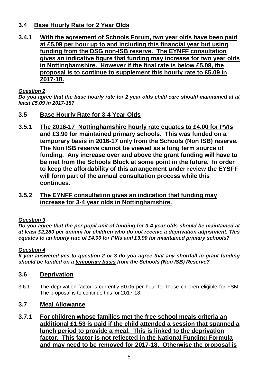#### **3.4 Base Hourly Rate for 2 Year Olds**

**3.4.1 With the agreement of Schools Forum, two year olds have been paid at £5.09 per hour up to and including this financial year but using funding from the DSG non-ISB reserve. The EYNFF consultation gives an indicative figure that funding may increase for two year olds in Nottinghamshire. However if the final rate is below £5.09, the proposal is to continue to supplement this hourly rate to £5.09 in 2017-18.** 

#### **Question 2**

**Do you agree that the base hourly rate for 2 year olds child care should maintained at at least £5.09 in 2017-18?** 

- **3.5 Base Hourly Rate for 3-4 Year Olds**
- **3.5.1 The 2016-17 Nottinghamshire hourly rate equates to £4.00 for PVIs and £3.90 for maintained primary schools. This was funded on a temporary basis in 2016-17 only from the Schools (Non ISB) reserve. The Non ISB reserve cannot be viewed as a long term source of funding. Any increase over and above the grant funding will have to be met from the Schools Block at some point in the future. In order to keep the affordability of this arrangement under review the EYSFF will form part of the annual consultation process while this continues.**
- **3.5.2 The EYNFF consultation gives an indication that funding may increase for 3-4 year olds in Nottinghamshire.**

#### **Question 3**

**Do you agree that the per pupil unit of funding for 3-4 year olds should be maintained at at least £2,280 per annum for children who do not receive a deprivation adjustment. This equates to an hourly rate of £4.00 for PVIs and £3.90 for maintained primary schools?** 

#### **Question 4**

**If you answered yes to question 2 or 3 do you agree that any shortfall in grant funding should be funded on a temporary basis from the Schools (Non ISB) Reserve?** 

#### **3.6 Deprivation**

3.6.1 The deprivation factor is currently £0.05 per hour for those children eligible for FSM. The proposal is to continue this for 2017-18.

#### **3.7 Meal Allowance**

**3.7.1 For children whose families met the free school meals criteria an additional £1.53 is paid if the child attended a session that spanned a lunch period to provide a meal. This is linked to the deprivation factor. This factor is not reflected in the National Funding Formula and may need to be removed for 2017-18. Otherwise the proposal is**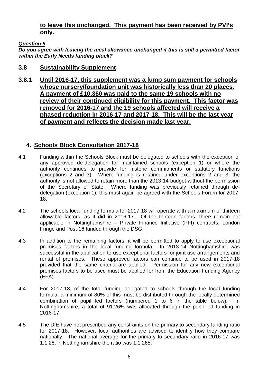#### **to leave this unchanged. This payment has been received by PVI's only.**

#### **Question 5**

**Do you agree with leaving the meal allowance unchanged if this is still a permitted factor within the Early Needs funding block?** 

#### **3.8 Sustainability Supplement**

**3.8.1 Until 2016-17, this supplement was a lump sum payment for schools whose nursery/foundation unit was historically less than 20 places. A payment of £10,360 was paid to the same 19 schools with no review of their continued eligibility for this payment. This factor was removed for 2016-17 and the 19 schools affected will receive a phased reduction in 2016-17 and 2017-18. This will be the last year of payment and reflects the decision made last year.** 

### **4. Schools Block Consultation 2017-18**

- 4.1 Funding within the Schools Block must be delegated to schools with the exception of any approved de-delegation for maintained schools (exception 1) or where the authority continues to provide for historic commitments or statutory functions (exceptions 2 and 3). Where funding is retained under exceptions 2 and 3, the authority is not allowed to retain more than the 2013-14 budget without the permission of the Secretary of State. Where funding was previously retained through dedelegation (exception 1), this must again be agreed with the Schools Forum for 2017- 18.
- 4.2 The schools local funding formula for 2017-18 will operate with a maximum of thirteen allowable factors, as it did in 2016-17. Of the thirteen factors, three remain not applicable in Nottinghamshire – Private Finance Initiative (PFI) contracts, London Fringe and Post-16 funded through the DSG.
- 4.3 In addition to the remaining factors, it will be permitted to apply to use exceptional premises factors in the local funding formula. In 2013-14 Nottinghamshire was successful in the application to use exceptional factors for joint use arrangements and rental of premises. These approved factors can continue to be used in 2017-18 provided that the same criteria are applied. Permission for any new exceptional premises factors to be used must be applied for from the Education Funding Agency (EFA).
- 4.4 For 2017-18, of the total funding delegated to schools through the local funding formula, a minimum of 80% of this must be distributed through the locally determined combination of pupil led factors (numbered 1 to 6 in the table below). In Nottinghamshire, a total of 91.26% was allocated through the pupil led funding in 2016-17.
- 4.5 The DfE have not prescribed any constraints on the primary to secondary funding ratio for 2017-18. However, local authorities are advised to identify how they compare nationally. The national average for the primary to secondary ratio in 2016-17 was 1:1.28; in Nottinghamshire the ratio was 1:1.265.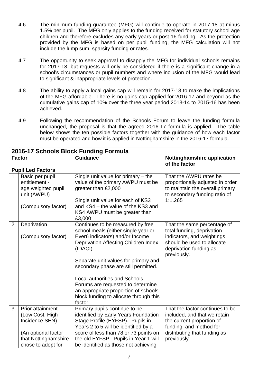- 4.6 The minimum funding guarantee (MFG) will continue to operate in 2017-18 at minus 1.5% per pupil. The MFG only applies to the funding received for statutory school age children and therefore excludes any early years or post 16 funding. As the protection provided by the MFG is based on per pupil funding, the MFG calculation will not include the lump sum, sparsity funding or rates.
- 4.7 The opportunity to seek approval to disapply the MFG for individual schools remains for 2017-18, but requests will only be considered if there is a significant change in a school's circumstances or pupil numbers and where inclusion of the MFG would lead to significant & inappropriate levels of protection.
- 4.8 The ability to apply a local gains cap will remain for 2017-18 to make the implications of the MFG affordable. There is no gains cap applied for 2016-17 and beyond as the cumulative gains cap of 10% over the three year period 2013-14 to 2015-16 has been achieved.
- 4.9 Following the recommendation of the Schools Forum to leave the funding formula unchanged, the proposal is that the agreed 2016-17 formula is applied. The table below shows the ten possible factors together with the guidance of how each factor must be operated and how it is applied in Nottinghamshire in the 2016-17 formula.

| 2016-17 Schools Block Funding Formula |                                                                       |                                                                                                                                                                        |                                                                                                                                           |  |  |  |  |
|---------------------------------------|-----------------------------------------------------------------------|------------------------------------------------------------------------------------------------------------------------------------------------------------------------|-------------------------------------------------------------------------------------------------------------------------------------------|--|--|--|--|
|                                       | <b>Factor</b>                                                         | <b>Guidance</b>                                                                                                                                                        | <b>Nottinghamshire application</b><br>of the factor                                                                                       |  |  |  |  |
|                                       | <b>Pupil Led Factors</b>                                              |                                                                                                                                                                        |                                                                                                                                           |  |  |  |  |
| $\mathbf{1}$                          | Basic per pupil<br>entitlement -<br>age weighted pupil<br>unit (AWPU) | Single unit value for primary $-$ the<br>value of the primary AWPU must be<br>greater than £2,000<br>Single unit value for each of KS3                                 | That the AWPU rates be<br>proportionally adjusted in order<br>to maintain the overall primary<br>to secondary funding ratio of<br>1:1.265 |  |  |  |  |
|                                       | (Compulsory factor)                                                   | and KS4 – the value of the KS3 and<br>KS4 AWPU must be greater than<br>£3,000                                                                                          |                                                                                                                                           |  |  |  |  |
| $\overline{2}$                        | Deprivation                                                           | Continues to be measured by free<br>school meals (either single year or                                                                                                | That the same percentage of<br>total funding, deprivation                                                                                 |  |  |  |  |
|                                       | (Compulsory factor)                                                   | Ever6 indicators) and/or Income<br>Deprivation Affecting Children Index<br>(IDACI).                                                                                    | indicators, and weightings<br>should be used to allocate<br>deprivation funding as<br>previously.                                         |  |  |  |  |
|                                       |                                                                       | Separate unit values for primary and<br>secondary phase are still permitted.                                                                                           |                                                                                                                                           |  |  |  |  |
|                                       |                                                                       | <b>Local authorities and Schools</b><br>Forums are requested to determine<br>an appropriate proportion of schools<br>block funding to allocate through this<br>factor. |                                                                                                                                           |  |  |  |  |
| 3                                     | <b>Prior attainment</b><br>(Low Cost, High<br>Incidence SEN)          | Primary pupils continue to be<br>identified by Early Years Foundation<br>Stage Profile (EYFSP). Pupils in<br>Years 2 to 5 will be identified by a                      | That the factor continues to be<br>included, and that we retain<br>the current proportion of<br>funding, and method for                   |  |  |  |  |
|                                       | (An optional factor<br>that Nottinghamshire<br>chose to adopt for     | score of less than 78 or 73 points on<br>the old EYFSP. Pupils in Year 1 will<br>be identified as those not achieving                                                  | distributing that funding as<br>previously                                                                                                |  |  |  |  |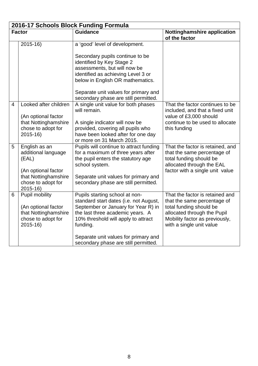|   | 2016-17 Schools Block Funding Formula                                                                                             |                                                                                                                                                                                                                                                                                        |                                                                                                                                                                                        |  |  |  |  |  |  |
|---|-----------------------------------------------------------------------------------------------------------------------------------|----------------------------------------------------------------------------------------------------------------------------------------------------------------------------------------------------------------------------------------------------------------------------------------|----------------------------------------------------------------------------------------------------------------------------------------------------------------------------------------|--|--|--|--|--|--|
|   | <b>Factor</b>                                                                                                                     | <b>Guidance</b>                                                                                                                                                                                                                                                                        | <b>Nottinghamshire application</b><br>of the factor                                                                                                                                    |  |  |  |  |  |  |
|   | $2015 - 16$                                                                                                                       | a 'good' level of development.                                                                                                                                                                                                                                                         |                                                                                                                                                                                        |  |  |  |  |  |  |
|   |                                                                                                                                   | Secondary pupils continue to be<br>identified by Key Stage 2<br>assessments, but will now be<br>identified as achieving Level 3 or<br>below in English OR mathematics.<br>Separate unit values for primary and                                                                         |                                                                                                                                                                                        |  |  |  |  |  |  |
| 4 | Looked after children<br>(An optional factor<br>that Nottinghamshire<br>chose to adopt for<br>$2015 - 16$                         | secondary phase are still permitted.<br>A single unit value for both phases<br>will remain.<br>A single indicator will now be<br>provided, covering all pupils who<br>have been looked after for one day<br>or more on 31 March 2015.                                                  | That the factor continues to be<br>included, and that a fixed unit<br>value of £3,000 should<br>continue to be used to allocate<br>this funding                                        |  |  |  |  |  |  |
| 5 | English as an<br>additional language<br>(EAL)<br>(An optional factor<br>that Nottinghamshire<br>chose to adopt for<br>$2015 - 16$ | Pupils will continue to attract funding<br>for a maximum of three years after<br>the pupil enters the statutory age<br>school system.<br>Separate unit values for primary and<br>secondary phase are still permitted.                                                                  | That the factor is retained, and<br>that the same percentage of<br>total funding should be<br>allocated through the EAL<br>factor with a single unit value                             |  |  |  |  |  |  |
| 6 | Pupil mobility<br>(An optional factor<br>that Nottinghamshire<br>chose to adopt for<br>$2015-16$                                  | Pupils starting school at non-<br>standard start dates (i.e. not August,<br>September or January for Year R) in<br>the last three academic years. A<br>10% threshold will apply to attract<br>funding.<br>Separate unit values for primary and<br>secondary phase are still permitted. | That the factor is retained and<br>that the same percentage of<br>total funding should be<br>allocated through the Pupil<br>Mobility factor as previously,<br>with a single unit value |  |  |  |  |  |  |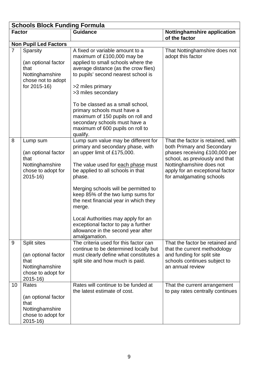|                | <b>Schools Block Funding Formula</b>                                                             |                                                                                                                                                                                                                                                                                                                                                                                                                                                                  |                                                                                                                                                                                                                               |  |  |  |  |  |
|----------------|--------------------------------------------------------------------------------------------------|------------------------------------------------------------------------------------------------------------------------------------------------------------------------------------------------------------------------------------------------------------------------------------------------------------------------------------------------------------------------------------------------------------------------------------------------------------------|-------------------------------------------------------------------------------------------------------------------------------------------------------------------------------------------------------------------------------|--|--|--|--|--|
| <b>Factor</b>  |                                                                                                  | <b>Guidance</b>                                                                                                                                                                                                                                                                                                                                                                                                                                                  | <b>Nottinghamshire application</b><br>of the factor                                                                                                                                                                           |  |  |  |  |  |
|                | <b>Non Pupil Led Factors</b>                                                                     |                                                                                                                                                                                                                                                                                                                                                                                                                                                                  |                                                                                                                                                                                                                               |  |  |  |  |  |
| $\overline{7}$ | Sparsity<br>(an optional factor<br>that<br>Nottinghamshire<br>chose not to adopt<br>for 2015-16) | A fixed or variable amount to a<br>maximum of £100,000 may be<br>applied to small schools where the<br>average distance (as the crow flies)<br>to pupils' second nearest school is<br>>2 miles primary<br>>3 miles secondary<br>To be classed as a small school,<br>primary schools must have a<br>maximum of 150 pupils on roll and<br>secondary schools must have a<br>maximum of 600 pupils on roll to<br>qualify.                                            | That Nottinghamshire does not<br>adopt this factor                                                                                                                                                                            |  |  |  |  |  |
| 8              | Lump sum<br>(an optional factor<br>that<br>Nottinghamshire<br>chose to adopt for<br>$2015 - 16$  | Lump sum value may be different for<br>primary and secondary phase, with<br>an upper limit of £175,000.<br>The value used for each phase must<br>be applied to all schools in that<br>phase.<br>Merging schools will be permitted to<br>keep 85% of the two lump sums for<br>the next financial year in which they<br>merge.<br>Local Authorities may apply for an<br>exceptional factor to pay a further<br>allowance in the second year after<br>amalgamation. | That the factor is retained, with<br>both Primary and Secondary<br>phases receiving £100,000 per<br>school, as previously and that<br>Nottinghamshire does not<br>apply for an exceptional factor<br>for amalgamating schools |  |  |  |  |  |
| 9              | Split sites<br>(an optional factor<br>that<br>Nottinghamshire<br>chose to adopt for<br>2015-16)  | The criteria used for this factor can<br>continue to be determined locally but<br>must clearly define what constitutes a<br>split site and how much is paid.                                                                                                                                                                                                                                                                                                     | That the factor be retained and<br>that the current methodology<br>and funding for split site<br>schools continues subject to<br>an annual review                                                                             |  |  |  |  |  |
| 10             | Rates<br>(an optional factor<br>that<br>Nottinghamshire<br>chose to adopt for<br>2015-16)        | Rates will continue to be funded at<br>the latest estimate of cost.                                                                                                                                                                                                                                                                                                                                                                                              | That the current arrangement<br>to pay rates centrally continues                                                                                                                                                              |  |  |  |  |  |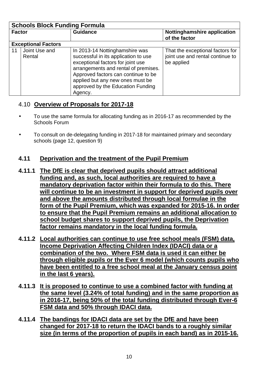| <b>Schools Block Funding Formula</b> |                            |                                                                                                                                                                                                                                                                                |                                                                                    |  |  |  |  |  |
|--------------------------------------|----------------------------|--------------------------------------------------------------------------------------------------------------------------------------------------------------------------------------------------------------------------------------------------------------------------------|------------------------------------------------------------------------------------|--|--|--|--|--|
| <b>Factor</b>                        |                            | <b>Guidance</b>                                                                                                                                                                                                                                                                | Nottinghamshire application<br>of the factor                                       |  |  |  |  |  |
|                                      | <b>Exceptional Factors</b> |                                                                                                                                                                                                                                                                                |                                                                                    |  |  |  |  |  |
| 11                                   | Joint Use and<br>Rental    | In 2013-14 Nottinghamshire was<br>successful in its application to use<br>exceptional factors for joint use<br>arrangements and rental of premises.<br>Approved factors can continue to be<br>applied but any new ones must be<br>approved by the Education Funding<br>Agency. | That the exceptional factors for<br>joint use and rental continue to<br>be applied |  |  |  |  |  |

# 4.10 **Overview of Proposals for 2017-18**

- To use the same formula for allocating funding as in 2016-17 as recommended by the Schools Forum
- To consult on de-delegating funding in 2017-18 for maintained primary and secondary schools (page 12, question 9)

# **4.11 Deprivation and the treatment of the Pupil Premium**

- **4.11.1 The DfE is clear that deprived pupils should attract additional funding and, as such, local authorities are required to have a mandatory deprivation factor within their formula to do this. There will continue to be an investment in support for deprived pupils over and above the amounts distributed through local formulae in the form of the Pupil Premium, which was expanded for 2015-16. In order to ensure that the Pupil Premium remains an additional allocation to school budget shares to support deprived pupils, the Deprivation factor remains mandatory in the local funding formula.**
- **4.11.2 Local authorities can continue to use free school meals (FSM) data, Income Deprivation Affecting Children Index (IDACI) data or a combination of the two. Where FSM data is used it can either be through eligible pupils or the Ever 6 model (which counts pupils who have been entitled to a free school meal at the January census point in the last 6 years).**
- **4.11.3 It is proposed to continue to use a combined factor with funding at the same level (3.24% of total funding) and in the same proportion as in 2016-17, being 50% of the total funding distributed through Ever-6 FSM data and 50% through IDACI data.**
- **4.11.4 The bandings for IDACI data are set by the DfE and have been changed for 2017-18 to return the IDACI bands to a roughly similar size (in terms of the proportion of pupils in each band) as in 2015-16.**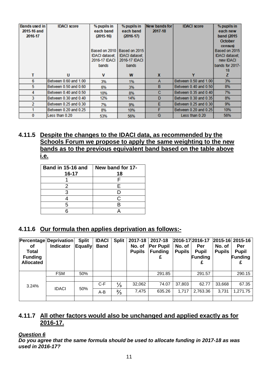| <b>Bands used in</b> | <b>IDACI</b> score    | % pupils in    | % pupils in                 | New bands for | <b>IDACI</b> score    | % pupils in      |
|----------------------|-----------------------|----------------|-----------------------------|---------------|-----------------------|------------------|
| 2015-16 and          |                       | each band      | each band                   | 2017-18       |                       | each new         |
| 2016-17              |                       | $(2015-16)$    | $(2016-17)$                 |               |                       | band (2015)      |
|                      |                       |                |                             |               |                       | <b>October</b>   |
|                      |                       |                |                             |               |                       | census)          |
|                      |                       |                | Based on 2010 Based on 2015 |               |                       | Based on 2015    |
|                      |                       | IDACI dataset: | <b>IDACI dataset;</b>       |               |                       | IDACI dataset;   |
|                      |                       | 2016-17 IDACI  | 2016-17 IDACI               |               |                       | new <b>IDACI</b> |
|                      |                       | bands          | bands                       |               |                       | bands for 2017-  |
|                      |                       |                |                             |               |                       | 18               |
| т                    | U                     | $\mathbf v$    | W                           | X             |                       | z                |
| 6                    | Between 0.60 and 1.00 | 3%             | 1%                          | A             | Between 0.50 and 1.00 | 3%               |
| 5                    | Between 0.50 and 0.60 | 6%             | 3%                          | B             | Between 0.40 and 0.50 | 8%               |
| 4                    | Between 0.40 and 0.50 | 10%            | 8%                          | с             | Between 0.35 and 0.40 | 7%               |
| 3                    | Between 0.30 and 0.40 | 12%            | 14%                         | D             | Between 0.30 and 0.35 | 8%               |
| 2                    | Between 0.25 and 0.30 | 7%             | 9%                          | E             | Between 0.25 and 0.30 | 9%               |
|                      | Between 0.20 and 0.25 | 8%             | 10%                         | F             | Between 0.20 and 0.25 | 10%              |
| 0                    | Less than 0.20        | 53%            | 56%                         | G             | Less than 0.20        | 56%              |

#### **4.11.5 Despite the changes to the IDACI data, as recommended by the Schools Forum we propose to apply the same weighting to the new bands as to the previous equivalent band based on the table above i.e.**

| Band in 15-16 and<br>16-17 | New band for 17-<br>18 |
|----------------------------|------------------------|
|                            |                        |
|                            | F                      |
|                            |                        |
|                            | C.                     |
| 5                          |                        |
|                            |                        |

# **4.11.6 Our formula then applies deprivation as follows:-**

| οf<br><b>Total</b><br><b>Funding</b><br><b>Allocated</b> | Percentage Deprivation<br><b>Indicator</b> | <b>Split</b><br><b>Equally</b> | <b>IDACI</b><br><b>Band</b> | <b>Split</b>  | 2017-18<br>No. of<br><b>Pupils</b> | 2017-18<br><b>Per Pupil</b><br><b>Funding</b> | No. of<br><b>Pupils</b> | 2016-17 2016-17<br>Per<br><b>Pupil</b><br>Funding<br>£ | No. of<br><b>Pupils</b> | 2015-16 2015-16<br>Per<br><b>Pupil</b><br>Funding |
|----------------------------------------------------------|--------------------------------------------|--------------------------------|-----------------------------|---------------|------------------------------------|-----------------------------------------------|-------------------------|--------------------------------------------------------|-------------------------|---------------------------------------------------|
|                                                          | <b>FSM</b>                                 | 50%                            |                             |               |                                    | 291.85                                        |                         | 291.57                                                 |                         | 290.15                                            |
|                                                          |                                            |                                |                             |               |                                    |                                               |                         |                                                        |                         |                                                   |
| 3.24%                                                    | <b>IDACI</b>                               | 50%                            | $C-F$                       | $\frac{1}{3}$ | 32,062                             | 74.07                                         | 37,803                  | 62.77                                                  | 33,668                  | 67.35                                             |
|                                                          |                                            |                                | A-B                         | $\frac{2}{3}$ | 7,475                              | 635.26                                        | 1,717                   | 2,763.36                                               | 3,731                   | 1,271.75                                          |
|                                                          |                                            |                                |                             |               |                                    |                                               |                         |                                                        |                         |                                                   |

### **4.11.7 All other factors would also be unchanged and applied exactly as for 2016-17.**

#### **Question 6**

**Do you agree that the same formula should be used to allocate funding in 2017-18 as was used in 2016-17?**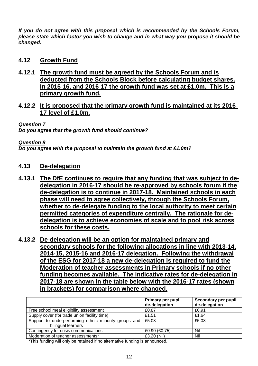**If you do not agree with this proposal which is recommended by the Schools Forum, please state which factor you wish to change and in what way you propose it should be changed.** 

#### **4.12 Growth Fund**

- **4.12.1 The growth fund must be agreed by the Schools Forum and is deducted from the Schools Block before calculating budget shares. In 2015-16, and 2016-17 the growth fund was set at £1.0m. This is a primary growth fund.**
- **4.12.2 It is proposed that the primary growth fund is maintained at its 2016- 17 level of £1.0m.**

#### **Question 7**

**Do you agree that the growth fund should continue?** 

#### **Question 8**

**Do you agree with the proposal to maintain the growth fund at £1.0m?** 

#### **4.13 De-delegation**

- **4.13.1 The DfE continues to require that any funding that was subject to dedelegation in 2016-17 should be re-approved by schools forum if the de-delegation is to continue in 2017-18. Maintained schools in each phase will need to agree collectively, through the Schools Forum, whether to de-delegate funding to the local authority to meet certain permitted categories of expenditure centrally. The rationale for dedelegation is to achieve economies of scale and to pool risk across schools for these costs.**
- **4.13.2 De-delegation will be an option for maintained primary and secondary schools for the following allocations in line with 2013-14, 2014-15, 2015-16 and 2016-17 delegation. Following the withdrawal of the ESG for 2017-18 a new de-delegation is required to fund the Moderation of teacher assessments in Primary schools if no other funding becomes available. The indicative rates for de-delegation in 2017-18 are shown in the table below with the 2016-17 rates (shown in brackets) for comparison where changed.**

|                                                       | Primary per pupil<br>de-delegation | Secondary per pupil<br>de-delegation |
|-------------------------------------------------------|------------------------------------|--------------------------------------|
| Free school meal eligibility assessment               | £0.87                              | £0.91                                |
| Supply cover (for trade union facility time)          | £1.51                              | £1.64                                |
| Support to underperforming ethnic minority groups and | £5.03                              | £5.03                                |
| bilingual learners                                    |                                    |                                      |
| Contingency for crisis communications                 | £0.90 (£0.75)                      | Nil                                  |
| Moderation of teacher assessments*                    | £3.20 (Nil)                        | Nil                                  |

\*This funding will only be retained if no alternative funding is announced.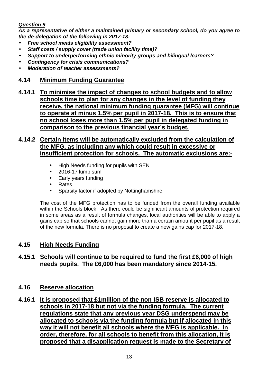#### **Question 9**

**As a representative of either a maintained primary or secondary school, do you agree to the de-delegation of the following in 2017-18:** 

- **Free school meals eligibility assessment?**
- **Staff costs / supply cover (trade union facility time)?**
- **Support to underperforming ethnic minority groups and bilingual learners?**
- **Contingency for crisis communications?**
- **Moderation of teacher assessments?**

#### **4.14 Minimum Funding Guarantee**

**4.14.1 To minimise the impact of changes to school budgets and to allow schools time to plan for any changes in the level of funding they receive, the national minimum funding guarantee (MFG) will continue to operate at minus 1.5% per pupil in 2017-18. This is to ensure that no school loses more than 1.5% per pupil in delegated funding in comparison to the previous financial year's budget.**

#### **4.14.2 Certain items will be automatically excluded from the calculation of the MFG, as including any which could result in excessive or insufficient protection for schools. The automatic exclusions are:-**

- High Needs funding for pupils with SEN
- 2016-17 lump sum
- Early years funding
- Rates
- Sparsity factor if adopted by Nottinghamshire

The cost of the MFG protection has to be funded from the overall funding available within the Schools block. As there could be significant amounts of protection required in some areas as a result of formula changes, local authorities will be able to apply a gains cap so that schools cannot gain more than a certain amount per pupil as a result of the new formula. There is no proposal to create a new gains cap for 2017-18.

#### **4.15 High Needs Funding**

#### **4.15.1 Schools will continue to be required to fund the first £6,000 of high needs pupils. The £6,000 has been mandatory since 2014-15.**

#### **4.16 Reserve allocation**

**4.16.1 It is proposed that £1million of the non-ISB reserve is allocated to schools in 2017-18 but not via the funding formula. The current regulations state that any previous year DSG underspend may be allocated to schools via the funding formula but if allocated in this way it will not benefit all schools where the MFG is applicable. In order, therefore, for all schools to benefit from this allocation, it is proposed that a disapplication request is made to the Secretary of**